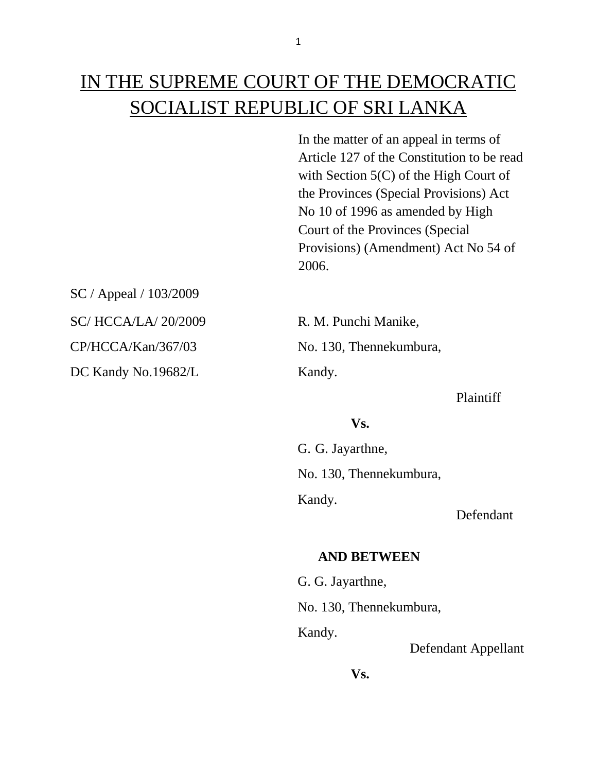# IN THE SUPREME COURT OF THE DEMOCRATIC SOCIALIST REPUBLIC OF SRI LANKA

In the matter of an appeal in terms of Article 127 of the Constitution to be read with Section 5(C) of the High Court of the Provinces (Special Provisions) Act No 10 of 1996 as amended by High Court of the Provinces (Special Provisions) (Amendment) Act No 54 of 2006.

SC / Appeal / 103/2009 SC/ HCCA/LA/ 20/2009 R. M. Punchi Manike, DC Kandy No.19682/L Kandy.

CP/HCCA/Kan/367/03 No. 130, Thennekumbura,

Plaintiff

#### **Vs.**

G. G. Jayarthne, No. 130, Thennekumbura, Kandy.

Defendant

#### **AND BETWEEN**

G. G. Jayarthne, No. 130, Thennekumbura, Kandy.

Defendant Appellant

**Vs.**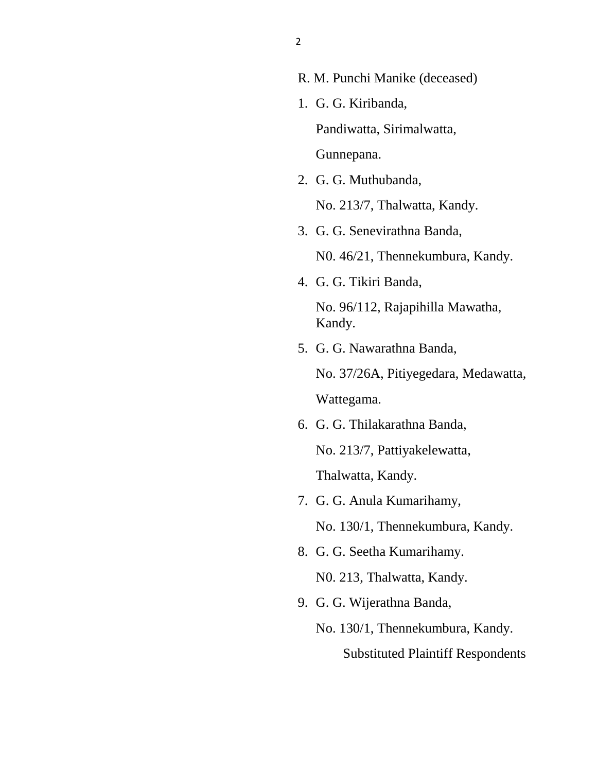- R. M. Punchi Manike (deceased)
- 1. G. G. Kiribanda, Pandiwatta, Sirimalwatta, Gunnepana.
- 2. G. G. Muthubanda, No. 213/7, Thalwatta, Kandy.
- 3. G. G. Senevirathna Banda,

N0. 46/21, Thennekumbura, Kandy.

4. G. G. Tikiri Banda,

No. 96/112, Rajapihilla Mawatha, Kandy.

- 5. G. G. Nawarathna Banda, No. 37/26A, Pitiyegedara, Medawatta, Wattegama.
- 6. G. G. Thilakarathna Banda, No. 213/7, Pattiyakelewatta, Thalwatta, Kandy.
- 7. G. G. Anula Kumarihamy, No. 130/1, Thennekumbura, Kandy.
- 8. G. G. Seetha Kumarihamy. N0. 213, Thalwatta, Kandy.
- 9. G. G. Wijerathna Banda,
	- No. 130/1, Thennekumbura, Kandy.

Substituted Plaintiff Respondents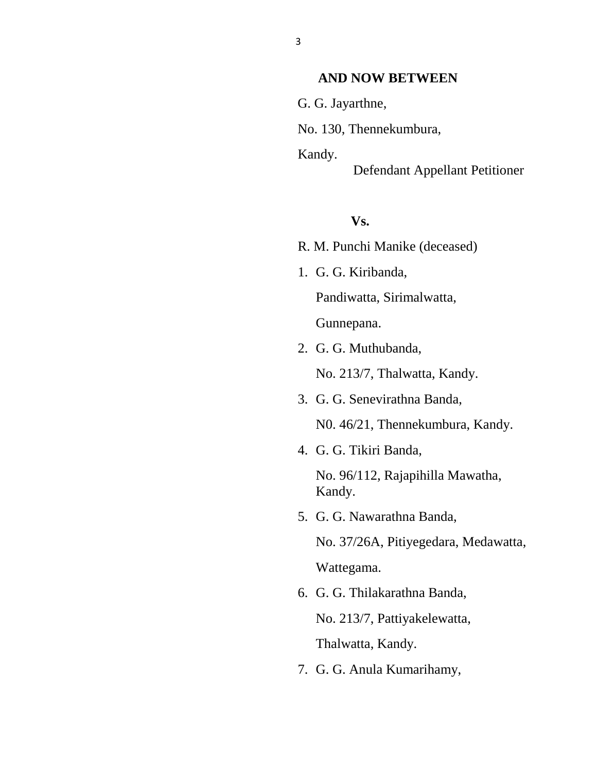#### **AND NOW BETWEEN**

G. G. Jayarthne,

No. 130, Thennekumbura,

 Kandy. Defendant Appellant Petitioner

### **Vs.**

R. M. Punchi Manike (deceased)

- 1. G. G. Kiribanda, Pandiwatta, Sirimalwatta, Gunnepana.
- 2. G. G. Muthubanda, No. 213/7, Thalwatta, Kandy.
- 3. G. G. Senevirathna Banda, N0. 46/21, Thennekumbura, Kandy.
- 4. G. G. Tikiri Banda,

No. 96/112, Rajapihilla Mawatha, Kandy.

- 5. G. G. Nawarathna Banda, No. 37/26A, Pitiyegedara, Medawatta, Wattegama.
- 6. G. G. Thilakarathna Banda, No. 213/7, Pattiyakelewatta, Thalwatta, Kandy.
- 7. G. G. Anula Kumarihamy,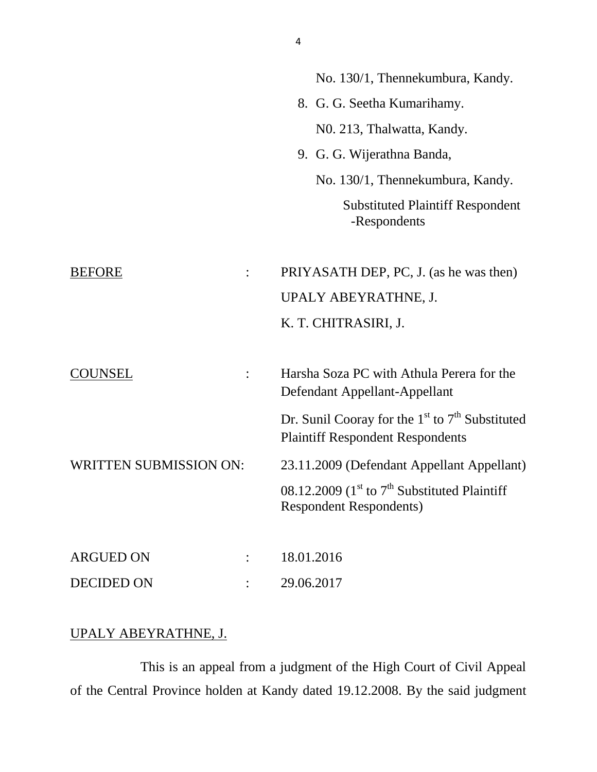|                               | No. 130/1, Thennekumbura, Kandy.                                                               |
|-------------------------------|------------------------------------------------------------------------------------------------|
|                               | 8. G. G. Seetha Kumarihamy.                                                                    |
|                               | NO. 213, Thalwatta, Kandy.                                                                     |
|                               | 9. G. G. Wijerathna Banda,                                                                     |
|                               | No. 130/1, Thennekumbura, Kandy.                                                               |
|                               | <b>Substituted Plaintiff Respondent</b><br>-Respondents                                        |
|                               |                                                                                                |
| <b>BEFORE</b>                 | PRIYASATH DEP, PC, J. (as he was then)                                                         |
|                               | UPALY ABEYRATHNE, J.                                                                           |
|                               | K. T. CHITRASIRI, J.                                                                           |
|                               |                                                                                                |
| COUNSEL                       | Harsha Soza PC with Athula Perera for the<br>Defendant Appellant-Appellant                     |
|                               | Dr. Sunil Cooray for the $1st$ to $7th$ Substituted<br><b>Plaintiff Respondent Respondents</b> |
| <b>WRITTEN SUBMISSION ON:</b> | 23.11.2009 (Defendant Appellant Appellant)                                                     |
|                               | 08.12.2009 ( $1st$ to $7th$ Substituted Plaintiff<br><b>Respondent Respondents)</b>            |
|                               |                                                                                                |
| <b>ARGUED ON</b>              | 18.01.2016                                                                                     |
| <b>DECIDED ON</b>             | 29.06.2017                                                                                     |

## UPALY ABEYRATHNE, J.

This is an appeal from a judgment of the High Court of Civil Appeal of the Central Province holden at Kandy dated 19.12.2008. By the said judgment

4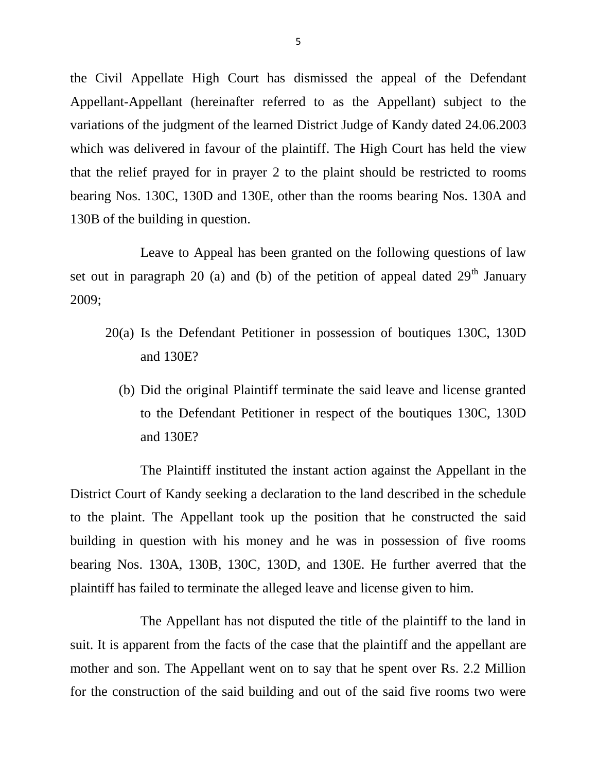the Civil Appellate High Court has dismissed the appeal of the Defendant Appellant-Appellant (hereinafter referred to as the Appellant) subject to the variations of the judgment of the learned District Judge of Kandy dated 24.06.2003 which was delivered in favour of the plaintiff. The High Court has held the view that the relief prayed for in prayer 2 to the plaint should be restricted to rooms bearing Nos. 130C, 130D and 130E, other than the rooms bearing Nos. 130A and 130B of the building in question.

Leave to Appeal has been granted on the following questions of law set out in paragraph 20 (a) and (b) of the petition of appeal dated  $29<sup>th</sup>$  January 2009;

- 20(a) Is the Defendant Petitioner in possession of boutiques 130C, 130D and 130E?
	- (b) Did the original Plaintiff terminate the said leave and license granted to the Defendant Petitioner in respect of the boutiques 130C, 130D and 130E?

The Plaintiff instituted the instant action against the Appellant in the District Court of Kandy seeking a declaration to the land described in the schedule to the plaint. The Appellant took up the position that he constructed the said building in question with his money and he was in possession of five rooms bearing Nos. 130A, 130B, 130C, 130D, and 130E. He further averred that the plaintiff has failed to terminate the alleged leave and license given to him.

The Appellant has not disputed the title of the plaintiff to the land in suit. It is apparent from the facts of the case that the plaintiff and the appellant are mother and son. The Appellant went on to say that he spent over Rs. 2.2 Million for the construction of the said building and out of the said five rooms two were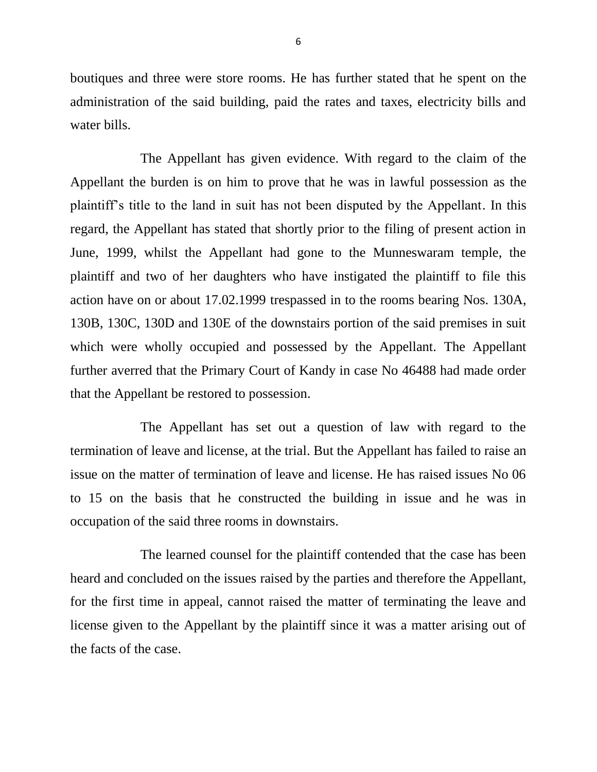boutiques and three were store rooms. He has further stated that he spent on the administration of the said building, paid the rates and taxes, electricity bills and water bills.

The Appellant has given evidence. With regard to the claim of the Appellant the burden is on him to prove that he was in lawful possession as the plaintiff's title to the land in suit has not been disputed by the Appellant. In this regard, the Appellant has stated that shortly prior to the filing of present action in June, 1999, whilst the Appellant had gone to the Munneswaram temple, the plaintiff and two of her daughters who have instigated the plaintiff to file this action have on or about 17.02.1999 trespassed in to the rooms bearing Nos. 130A, 130B, 130C, 130D and 130E of the downstairs portion of the said premises in suit which were wholly occupied and possessed by the Appellant. The Appellant further averred that the Primary Court of Kandy in case No 46488 had made order that the Appellant be restored to possession.

The Appellant has set out a question of law with regard to the termination of leave and license, at the trial. But the Appellant has failed to raise an issue on the matter of termination of leave and license. He has raised issues No 06 to 15 on the basis that he constructed the building in issue and he was in occupation of the said three rooms in downstairs.

The learned counsel for the plaintiff contended that the case has been heard and concluded on the issues raised by the parties and therefore the Appellant, for the first time in appeal, cannot raised the matter of terminating the leave and license given to the Appellant by the plaintiff since it was a matter arising out of the facts of the case.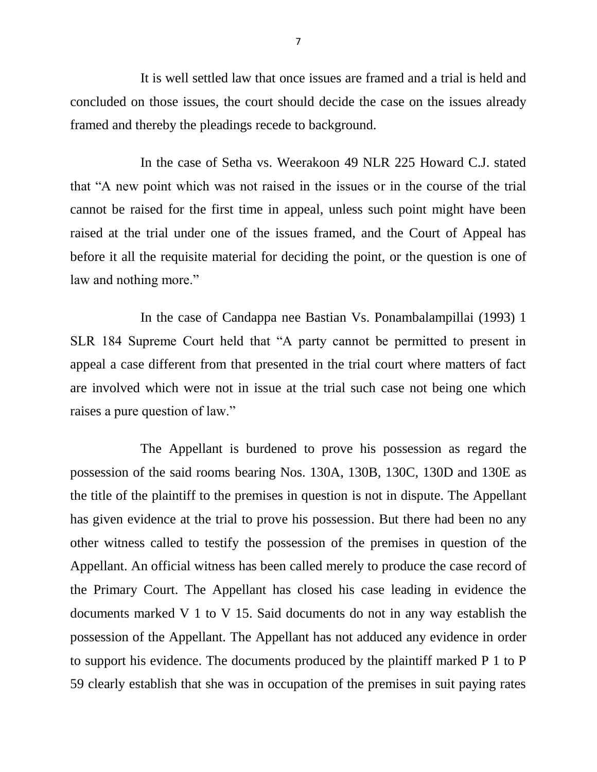It is well settled law that once issues are framed and a trial is held and concluded on those issues, the court should decide the case on the issues already framed and thereby the pleadings recede to background.

In the case of Setha vs. Weerakoon 49 NLR 225 Howard C.J. stated that "A new point which was not raised in the issues or in the course of the trial cannot be raised for the first time in appeal, unless such point might have been raised at the trial under one of the issues framed, and the Court of Appeal has before it all the requisite material for deciding the point, or the question is one of law and nothing more."

In the case of Candappa nee Bastian Vs. Ponambalampillai (1993) 1 SLR 184 Supreme Court held that "A party cannot be permitted to present in appeal a case different from that presented in the trial court where matters of fact are involved which were not in issue at the trial such case not being one which raises a pure question of law."

The Appellant is burdened to prove his possession as regard the possession of the said rooms bearing Nos. 130A, 130B, 130C, 130D and 130E as the title of the plaintiff to the premises in question is not in dispute. The Appellant has given evidence at the trial to prove his possession. But there had been no any other witness called to testify the possession of the premises in question of the Appellant. An official witness has been called merely to produce the case record of the Primary Court. The Appellant has closed his case leading in evidence the documents marked V 1 to V 15. Said documents do not in any way establish the possession of the Appellant. The Appellant has not adduced any evidence in order to support his evidence. The documents produced by the plaintiff marked P 1 to P 59 clearly establish that she was in occupation of the premises in suit paying rates